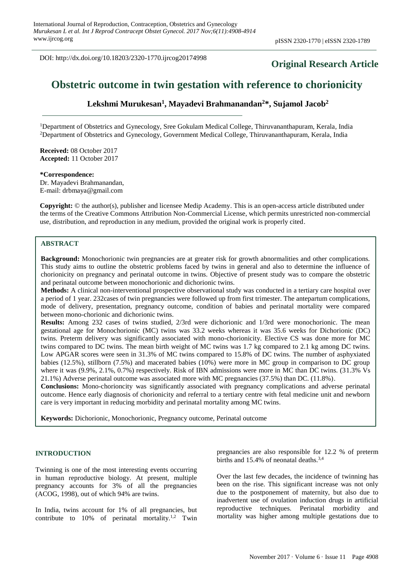DOI: http://dx.doi.org/10.18203/2320-1770.ijrcog20174998

## **Original Research Article**

# **Obstetric outcome in twin gestation with reference to chorionicity**

**Lekshmi Murukesan<sup>1</sup> , Mayadevi Brahmanandan<sup>2</sup>\*, Sujamol Jacob<sup>2</sup>**

<sup>1</sup>Department of Obstetrics and Gynecology, Sree Gokulam Medical College, Thiruvananthapuram, Kerala, India <sup>2</sup>Department of Obstetrics and Gynecology, Government Medical College, Thiruvananthapuram, Kerala, India

**Received:** 08 October 2017 **Accepted:** 11 October 2017

**\*Correspondence:** Dr. Mayadevi Brahmanandan, E-mail: drbmaya@gmail.com

**Copyright:** © the author(s), publisher and licensee Medip Academy. This is an open-access article distributed under the terms of the Creative Commons Attribution Non-Commercial License, which permits unrestricted non-commercial use, distribution, and reproduction in any medium, provided the original work is properly cited.

### **ABSTRACT**

**Background:** Monochorionic twin pregnancies are at greater risk for growth abnormalities and other complications. This study aims to outline the obstetric problems faced by twins in general and also to determine the influence of chorionicity on pregnancy and perinatal outcome in twins. Objective of present study was to compare the obstetric and perinatal outcome between monochorionic and dichorionic twins.

**Methods:** A clinical non-interventional prospective observational study was conducted in a tertiary care hospital over a period of 1 year. 232cases of twin pregnancies were followed up from first trimester. The antepartum complications, mode of delivery, presentation, pregnancy outcome, condition of babies and perinatal mortality were compared between mono-chorionic and dichorionic twins.

**Results:** Among 232 cases of twins studied, 2/3rd were dichorionic and 1/3rd were monochorionic. The mean gestational age for Monochorionic (MC) twins was 33.2 weeks whereas it was 35.6 weeks for Dichorionic (DC) twins. Preterm delivery was significantly associated with mono-chorionicity. Elective CS was done more for MC twins compared to DC twins. The mean birth weight of MC twins was 1.7 kg compared to 2.1 kg among DC twins. Low APGAR scores were seen in 31.3% of MC twins compared to 15.8% of DC twins. The number of asphyxiated babies (12.5%), stillborn (7.5%) and macerated babies (10%) were more in MC group in comparison to DC group where it was  $(9.9\%, 2.1\%, 0.7\%)$  respectively. Risk of IBN admissions were more in MC than DC twins. (31.3% Vs 21.1%) Adverse perinatal outcome was associated more with MC pregnancies (37.5%) than DC. (11.8%).

**Conclusions:** Mono-chorioncity was significantly associated with pregnancy complications and adverse perinatal outcome. Hence early diagnosis of chorionicity and referral to a tertiary centre with fetal medicine unit and newborn care is very important in reducing morbidity and perinatal mortality among MC twins.

**Keywords:** Dichorionic, Monochorionic, Pregnancy outcome, Perinatal outcome

#### **INTRODUCTION**

Twinning is one of the most interesting events occurring in human reproductive biology. At present, multiple pregnancy accounts for 3% of all the pregnancies (ACOG, 1998), out of which 94% are twins.

In India, twins account for 1% of all pregnancies, but contribute to  $10\%$  of perinatal mortality.<sup>1,2</sup> Twin pregnancies are also responsible for 12.2 % of preterm births and 15.4% of neonatal deaths.<sup>3,4</sup>

Over the last few decades, the incidence of twinning has been on the rise. This significant increase was not only due to the postponement of maternity, but also due to inadvertent use of ovulation induction drugs in artificial reproductive techniques. Perinatal morbidity and mortality was higher among multiple gestations due to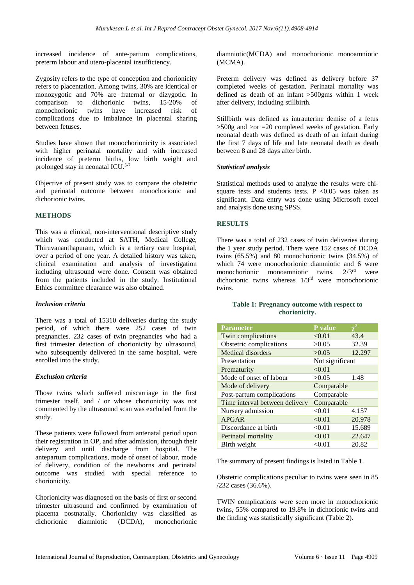increased incidence of ante-partum complications, preterm labour and utero-placental insufficiency.

Zygosity refers to the type of conception and chorionicity refers to placentation. Among twins, 30% are identical or monozygotic and 70% are fraternal or dizygotic. In comparison to dichorionic twins, 15-20% of monochorionic twins have increased risk of complications due to imbalance in placental sharing between fetuses.

Studies have shown that monochorionicity is associated with higher perinatal mortality and with increased incidence of preterm births, low birth weight and prolonged stay in neonatal ICU.5-7

Objective of present study was to compare the obstetric and perinatal outcome between monochorionic and dichorionic twins.

### **METHODS**

This was a clinical, non-interventional descriptive study which was conducted at SATH, Medical College, Thiruvananthapuram, which is a tertiary care hospital, over a period of one year. A detailed history was taken, clinical examination and analysis of investigation including ultrasound were done. Consent was obtained from the patients included in the study. Institutional Ethics committee clearance was also obtained.

### *Inclusion criteria*

There was a total of 15310 deliveries during the study period, of which there were 252 cases of twin pregnancies. 232 cases of twin pregnancies who had a first trimester detection of chorionicity by ultrasound, who subsequently delivered in the same hospital, were enrolled into the study.

### *Exclusion criteria*

Those twins which suffered miscarriage in the first trimester itself, and / or whose chorionicity was not commented by the ultrasound scan was excluded from the study.

These patients were followed from antenatal period upon their registration in OP, and after admission, through their delivery and until discharge from hospital. The antepartum complications, mode of onset of labour, mode of delivery, condition of the newborns and perinatal outcome was studied with special reference to chorionicity.

Chorionicity was diagnosed on the basis of first or second trimester ultrasound and confirmed by examination of placenta postnatally. Chorionicity was classified as dichorionic diamniotic (DCDA), monochorionic diamniotic(MCDA) and monochorionic monoamniotic (MCMA).

Preterm delivery was defined as delivery before 37 completed weeks of gestation. Perinatal mortality was defined as death of an infant >500gms within 1 week after delivery, including stillbirth.

Stillbirth was defined as intrauterine demise of a fetus  $>500$ g and  $>or = 20$  completed weeks of gestation. Early neonatal death was defined as death of an infant during the first 7 days of life and late neonatal death as death between 8 and 28 days after birth.

### *Statistical analysis*

Statistical methods used to analyze the results were chisquare tests and students tests. P  $< 0.05$  was taken as significant. Data entry was done using Microsoft excel and analysis done using SPSS.

### **RESULTS**

There was a total of 232 cases of twin deliveries during the 1 year study period. There were 152 cases of DCDA twins (65.5%) and 80 monochorionic twins (34.5%) of which 74 were monochorionic diamniotic and 6 were monochorionic monoamniotic twins. 2/3rd were dichorionic twins whereas 1/3rd were monochorionic twins.

### **Table 1: Pregnancy outcome with respect to chorionicity.**

| <b>Parameter</b>               | <b>P</b> value  |        |
|--------------------------------|-----------------|--------|
| Twin complications             | < 0.01          | 43.4   |
| Obstetric complications        | >0.05           | 32.39  |
| Medical disorders              | >0.05           | 12.297 |
| Presentation                   | Not significant |        |
| Prematurity                    | < 0.01          |        |
| Mode of onset of labour        | >0.05           | 1.48   |
| Mode of delivery               | Comparable      |        |
| Post-partum complications      | Comparable      |        |
| Time interval between delivery | Comparable      |        |
| Nursery admission              | < 0.01          | 4.157  |
| <b>APGAR</b>                   | < 0.01          | 20.978 |
| Discordance at birth           | < 0.01          | 15.689 |
| Perinatal mortality            | < 0.01          | 22.647 |
| Birth weight                   | < 0.01          | 20.82  |

The summary of present findings is listed in Table 1.

Obstetric complications peculiar to twins were seen in 85 /232 cases (36.6%).

TWIN complications were seen more in monochorionic twins, 55% compared to 19.8% in dichorionic twins and the finding was statistically significant (Table 2).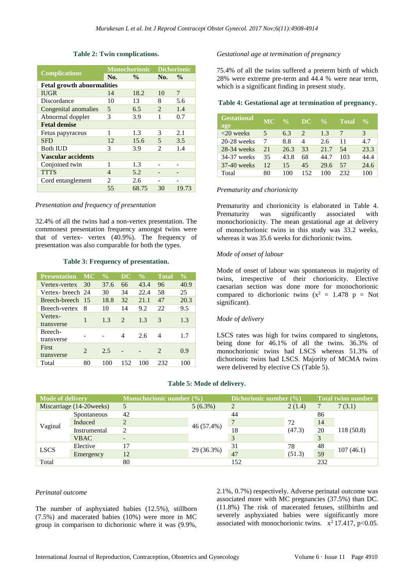|                                   |                             | <b>Monochorionic</b> | <b>Dichorionic</b>          |               |  |  |  |
|-----------------------------------|-----------------------------|----------------------|-----------------------------|---------------|--|--|--|
| <b>Complications</b>              | No.                         | $\frac{6}{10}$       | No.                         | $\frac{0}{0}$ |  |  |  |
| <b>Fetal growth abnormalities</b> |                             |                      |                             |               |  |  |  |
| <b>IUGR</b>                       | 14                          | 18.2                 | 10                          | 7             |  |  |  |
| Discordance                       | 10                          | 13                   | 8                           | 5.6           |  |  |  |
| Congenital anomalies              | 5                           | 6.5                  | $\mathfrak{D}$              | 1.4           |  |  |  |
| Abnormal doppler                  | 3                           | 3.9                  | 1                           | 0.7           |  |  |  |
| <b>Fetal demise</b>               |                             |                      |                             |               |  |  |  |
| Fetus papyraceus                  | 1                           | 1.3                  | 3                           | 2.1           |  |  |  |
| <b>SFD</b>                        | 12                          | 15.6                 | 5                           | 3.5           |  |  |  |
| <b>Both IUD</b>                   | 3                           | 3.9                  | $\mathcal{D}_{\mathcal{L}}$ | 1.4           |  |  |  |
| <b>Vascular accidents</b>         |                             |                      |                             |               |  |  |  |
| Conjoined twin                    | 1                           | 1.3                  |                             |               |  |  |  |
| <b>TTTS</b>                       | 4                           | 5.2                  |                             |               |  |  |  |
| Cord entanglement                 | $\mathcal{D}_{\mathcal{L}}$ | 2.6                  |                             |               |  |  |  |
|                                   | 55                          | 68.75                | 30                          | 19.73         |  |  |  |

### **Table 2: Twin complications.**

#### *Presentation and frequency of presentation*

32.4% of all the twins had a non-vertex presentation. The commonest presentation frequency amongst twins were that of vertex- vertex (40.9%). The frequency of presentation was also comparable for both the types.

#### **Table 3: Frequency of presentation.**

| <b>Presentation</b> | MС                          | $\frac{0}{\alpha}$ | $\overline{\mathbf{D}}\mathbf{C}$ | $\frac{0}{0}$ | <b>Total</b>                | $\frac{0}{0}$ |
|---------------------|-----------------------------|--------------------|-----------------------------------|---------------|-----------------------------|---------------|
| Vertex-vertex       | 30                          | 37.6               | 66                                | 43.4          | 96                          | 40.9          |
| Vertex- breech 24   |                             | 30                 | 34                                | 22.4          | 58                          | 25            |
| Breech-breech       | 15                          | 18.8               | 32                                | 2.1.1         | 47                          | 20.3          |
| Breech-vertex       | 8                           | 10                 | 14                                | 9.2           | 22                          | 9.5           |
| Vertex-             | 1                           | 1.3                | $\mathcal{L}$                     | 1.3           | 3                           | 1.3           |
| transverse          |                             |                    |                                   |               |                             |               |
| Breech-             |                             |                    | 4                                 | 2.6           | 4                           | 1.7           |
| transverse          |                             |                    |                                   |               |                             |               |
| First               | $\mathcal{D}_{\mathcal{L}}$ | 2.5                |                                   |               | $\mathcal{D}_{\mathcal{L}}$ | 0.9           |
| transverse          |                             |                    |                                   |               |                             |               |
| Total               | 80                          | 100                | 152                               | 100           | 232                         | 100           |

#### *Gestational age at termination of pregnancy*

75.4% of all the twins suffered a preterm birth of which 28% were extreme pre-term and 44.4 % were near term, which is a significant finding in present study.

#### **Table 4: Gestational age at termination of pregnancy.**

| <b>Gestational</b><br>age | <b>MC</b> | $\frac{0}{0}$ | DC.                         | $\frac{0}{0}$ | <b>Total</b> | $\frac{0}{0}$ |
|---------------------------|-----------|---------------|-----------------------------|---------------|--------------|---------------|
| $<20$ weeks               | 5         | 6.3           | $\mathcal{D}_{\mathcal{L}}$ | 1.3           |              | 3             |
| $20-28$ weeks             |           | 8.8           | 4                           | 2.6           | 11           | 4.7           |
| $28-34$ weeks             | 21        | 26.3          | 33                          | 21.7          | 54           | 23.3          |
| 34-37 weeks               | 35        | 43.8          | 68                          | 44.7          | 103          | 44.4          |
| 37-40 weeks               | 12        | 15            | 45                          | 29.6          | 57           | 24.6          |
| Total                     | 80        | 100           | 152                         | 100           | 232          | 100           |

#### *Prematurity and chorionicity*

Prematurity and chorionicity is elaborated in Table 4. Prematurity was significantly associated with monochorionicity. The mean gestational age at delivery of monochorionic twins in this study was 33.2 weeks, whereas it was 35.6 weeks for dichorionic twins.

#### *Mode of onset of labour*

Mode of onset of labour was spontaneous in majority of twins, irrespective of their chorionicity. Elective caesarian section was done more for monochorionic compared to dichorionic twins  $(x^2 = 1.478 \text{ p} = \text{Not}$ significant).

#### *Mode of delivery*

LSCS rates was high for twins compared to singletons, being done for 46.1% of all the twins. 36.3% of monochorionic twins had LSCS whereas 51.3% of dichorionic twins had LSCS. Majority of MCMA twins were delivered by elective CS (Table 5).

#### **Table 5: Mode of delivery.**

| <b>Mode of delivery</b><br>Monochorionic number $(\% )$ |                          |    | Dichorionic number (%) |     | <b>Total twins number</b> |     |           |  |
|---------------------------------------------------------|--------------------------|----|------------------------|-----|---------------------------|-----|-----------|--|
|                                                         | Miscarriage (14-20weeks) | 5  | $5(6.3\%)$             | 2   | 2(1.4)                    |     | 7(3.1)    |  |
|                                                         | Spontaneous              | 42 | 46 (57.4%)             | 44  |                           | 86  |           |  |
|                                                         | Induced                  |    |                        |     | 72<br>(47.3)              | 14  | 118(50.8) |  |
| Vaginal                                                 | Instrumental             |    |                        | 18  |                           | 20  |           |  |
|                                                         | <b>VBAC</b>              |    |                        |     |                           | 3   |           |  |
|                                                         | Elective                 | 17 |                        | 31  | 78                        | 48  |           |  |
| <b>LSCS</b>                                             | Emergency                | 12 | 29 (36.3%)             | 47  | (51.3)                    | 59  | 107(46.1) |  |
| Total                                                   |                          | 80 |                        | 152 |                           | 232 |           |  |

#### *Perinatal outcome*

The number of asphyxiated babies (12.5%), stillborn (7.5%) and macerated babies (10%) were more in MC group in comparison to dichorionic where it was (9.9%, 2.1%, 0.7%) respectively. Adverse perinatal outcome was associated more with MC pregnancies (37.5%) than DC. (11.8%) The risk of macerated fetuses, stillbirths and severely asphyxiated babies were significantly more associated with monochorionic twins.  $x^2$  17.417, p<0.05.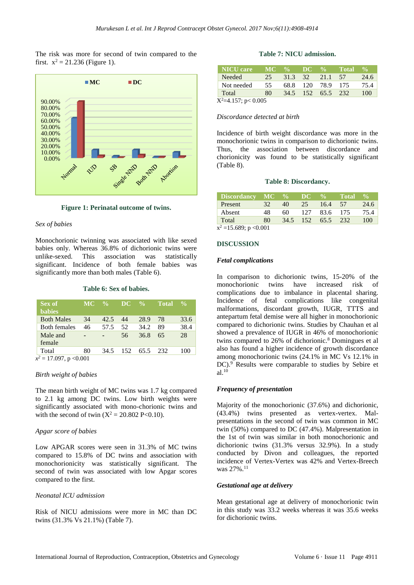The risk was more for second of twin compared to the first.  $x^2 = 21.236$  (Figure 1).



**Figure 1: Perinatal outcome of twins.**

### *Sex of babies*

Monochorionic twinning was associated with like sexed babies only. Whereas 36.8% of dichorionic twins were unlike-sexed. This association was statistically significant. Incidence of both female babies was significantly more than both males (Table 6).

#### **Table 6: Sex of babies.**

| MC. |      |               |      | ' Total       | $\frac{1}{2}$ |
|-----|------|---------------|------|---------------|---------------|
| 34  | 42.5 | 44            | 28.9 | 78            | 33.6          |
| 46  | 57.5 | 52            | 34.2 | 89            | 38.4          |
| -   |      | 56            | 36.8 | 65            | 28            |
| 80  | 34.5 | 152           | 65.5 |               | 100           |
|     |      | $\frac{0}{0}$ |      | $DC \gamma_0$ | 232           |

*x <sup>2</sup>* = 17.097, p <0.001

#### *Birth weight of babies*

The mean birth weight of MC twins was 1.7 kg compared to 2.1 kg among DC twins. Low birth weights were significantly associated with mono-chorionic twins and with the second of twin  $(X^2 = 20.802 \text{ P} < 0.10)$ .

#### *Apgar score of babies*

Low APGAR scores were seen in 31.3% of MC twins compared to 15.8% of DC twins and association with monochorionicity was statistically significant. The second of twin was associated with low Apgar scores compared to the first.

#### *Neonatal ICU admission*

Risk of NICU admissions were more in MC than DC twins (31.3% Vs 21.1%) (Table 7).

#### **Table 7: NICU admission.**

| <b>NICU</b> care       |    |  |                   | MC % DC % Total | $\frac{0}{\alpha}$ |
|------------------------|----|--|-------------------|-----------------|--------------------|
| Needed                 | 25 |  | 31.3 32 21.1 57   |                 | 24.6               |
| Not needed             | 55 |  | 68.8 120 78.9 175 |                 | 75.4               |
| Total                  | 80 |  | 34.5 152 65.5 232 |                 | 100                |
| $X^2=4.157$ ; p< 0.005 |    |  |                   |                 |                    |

#### *Discordance detected at birth*

Incidence of birth weight discordance was more in the monochorionic twins in comparison to dichorionic twins. Thus, the association between discordance and chorionicity was found to be statistically significant (Table 8).

#### **Table 8: Discordancy.**

| Discordancy MC %     |    |      | DC. | $\frac{9}{6}$ | <b>Total</b> | $\frac{0}{\sqrt{2}}$ |
|----------------------|----|------|-----|---------------|--------------|----------------------|
| Present              | 32 | 40   | 25  | 16.4          | 57           | 24.6                 |
| Absent               | 48 | 60   | 127 | 83.6 175      |              | 75.4                 |
| Total                | 80 | 34.5 | 152 | 65.5 232      |              | 100                  |
| $-2$ 15 $(00 - 0.01$ |    |      |     |               |              |                      |

 $x^2 = 15.689$ ; p < 0.001

#### **DISCUSSION**

#### *Fetal complications*

In comparison to dichorionic twins, 15-20% of the monochorionic twins have increased risk of complications due to imbalance in placental sharing. Incidence of fetal complications like congenital malformations, discordant growth, IUGR, TTTS and antepartum fetal demise were all higher in monochorionic compared to dichorionic twins. Studies by Chauhan et al showed a prevalence of IUGR in 46% of monochorionic twins compared to 26% of dichorionic.<sup>8</sup> Domingues et al also has found a higher incidence of growth discordance among monochorionic twins (24.1% in MC Vs 12.1% in DC).<sup>9</sup> Results were comparable to studies by Sebire et al.<sup>10</sup>

#### *Frequency of presentation*

Majority of the monochorionic (37.6%) and dichorionic, (43.4%) twins presented as vertex-vertex. Malpresentations in the second of twin was common in MC twin (50%) compared to DC (47.4%). Malpresentation in the 1st of twin was similar in both monochorionic and dichorionic twins (31.3% versus 32.9%). In a study conducted by Divon and colleagues, the reported incidence of Vertex-Vertex was 42% and Vertex-Breech was 27%.<sup>11</sup>

#### *Gestational age at delivery*

Mean gestational age at delivery of monochorionic twin in this study was 33.2 weeks whereas it was 35.6 weeks for dichorionic twins.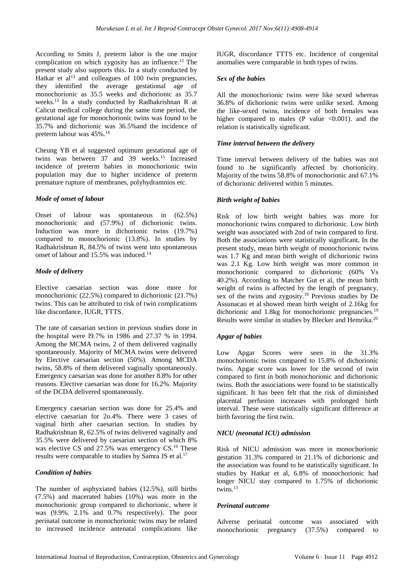According to Smits J, preterm labor is the one major complication on which zygosity has an influence.<sup>12</sup> The present study also supports this. In a study conducted by Hatkar et al<sup>13</sup> and colleagues of 100 twin pregnancies, they identified the average gestational age of monochorionic as 35.5 weeks and dichorionic as 35.7 weeks.<sup>13</sup> In a study conducted by Radhakrishnan R at Calicut medical college during the same time period, the gestational age for monochorionic twins was found to be 35.7% and dichorionic was 36.5%and the incidence of preterm labour was 45%.<sup>14</sup>

Cheung YB et al suggested optimum gestational age of twins was between 37 and 39 weeks.<sup>15</sup> Increased incidence of preterm babies in monochorionic twin population may due to higher incidence of preterm premature rupture of membranes, polyhydramnios etc.

### *Mode of onset of labour*

Onset of labour was spontaneous in (62.5%) monochorionic and (57.9%) of dichorionic twins. Induction was more in dichorionic twins (19.7%) compared to monochorionic (13.8%). In studies by Radhakrishnan R, 84.5% of twins went into spontaneous onset of labour and 15.5% was induced.<sup>14</sup>

### *Mode of delivery*

Elective caesarian section was done more for monochorionic (22.5%) compared to dichorionic (21.7%) twins. This can be attributed to risk of twin complications like discordance, IUGR, TTTS.

The rate of caesarian section in previous studies done in the hospital were l9.7% in 1986 and 27.37 % in 1994. Among the MCMA twins, 2 of them delivered vaginally spontaneously. Majority of MCMA twins were delivered by Elective caesarian section (50%). Among MCDA twins, 58.8% of them delivered vaginally spontaneously. Emergency caesarian was done for another 8.8% for other reasons. Elective caesarian was done for 16.2%. Majority of the DCDA delivered spontaneously.

Emergency caesarian section was done for 25.4% and elective caesarian for 2o.4%. There were 3 cases of vaginal birth after caesarian section. In studies by Radhakrishnan R, 62.5% of twins delivered vaginally and 35.5% were delivered by caesarian section of which 8% was elective CS and 27.5% was emergency CS.<sup>16</sup> These results were comparable to studies by Samra JS et al.<sup>17</sup>

### *Condition of babies*

The number of asphyxiated babies (12.5%), still births (7.5%) and macerated babies (10%) was more in the monochorionic group compared to dichorionic, where it was (9.9%. 2.1% and 0.7% respectively). The poor perinatal outcome in monochorionic twins may be related to increased incidence antenatal complications like IUGR, discordance TTTS etc. Incidence of congenital anomalies were comparable in both types of twins.

### *Sex of the babies*

All the monochorionic twins were like sexed whereas 36.8% of dichorionic twins were unlike sexed. Among the like-sexed twins, incidence of both females was higher compared to males  $(P \text{ value } < 0.001)$ , and the relation is statistically significant.

### *Time interval between the delivery*

Time interval between delivery of the babies was not found to be significantly affected by chorionicity. Majority of the twins 58.8% of monochorionic and 67.1% of dichorionic delivered within 5 minutes.

### *Birth weight of babies*

Risk of low birth weight babies was more for monochorionic twins compared to dichorionic. Low birth weight was associated with 2nd of twin compared to first. Both the associations were statistically significant**.** In the present study, mean birth weight of monochorionic twins was 1.7 Kg and mean birth weight of dichorionic twins was 2.1 Kg. Low birth weight was more common in monochorionic compared to dichorionic (60% Vs 40.2%). According to Matcher Gut et al, the mean birth weight of twins is affected by the length of pregnancy, sex of the twins and zygosity.<sup>18</sup> Previous studies by De Assunacao et al showed mean birth weight of 2.16kg for dichorionic and 1.8kg for monochorionic pregnancies.<sup>19</sup> Results were similar in studies by Blecker and Hemrika.<sup>20</sup>

### *Apgar of babies*

Low Apgar Scores were seen in the 31.3% monochorionic twins compared to 15.8% of dichorionic twins. Apgar score was lower for the second of twin compared to first in both monochorionic and dichorionic twins. Both the associations were found to be statistically significant. It has been felt that the risk of diminished placental perfusion increases with prolonged birth interval. These were statistically significant difference at birth favoring the first twin.

### *NICU (neonatal ICU) admission*

Risk of NICU admission was more in monochorionic gestation 31.3% compared in 21.1% of dichorionic and the association was found to be statistically significant. In studies by Hatkar et al, 6.8% of monochorionic had longer NICU stay compared to 1.75% of dichorionic twins.<sup>13</sup>

### *Perinatal outcome*

Adverse perinatal outcome was associated with monochorionic pregnancy (37.5%) compared to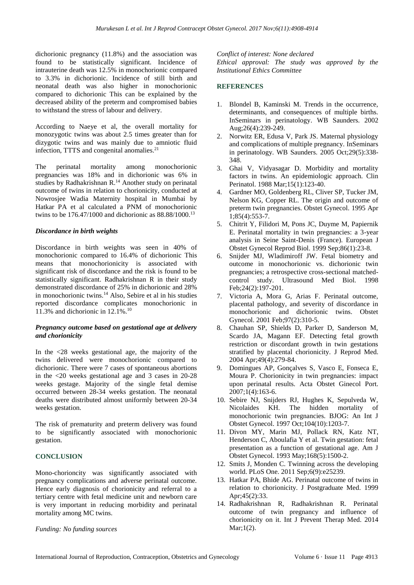dichorionic pregnancy (11.8%) and the association was found to be statistically significant. Incidence of intrauterine death was 12.5% in monochorionic compared to 3.3% in dichorionic. Incidence of still birth and neonatal death was also higher in monochorionic compared to dichorionic This can be explained by the decreased ability of the preterm and compromised babies to withstand the stress of labour and delivery.

According to Naeye et al, the overall mortality for monozygotic twins was about 2.5 times greater than for dizygotic twins and was mainly due to amniotic fluid infection, TTTS and congenital anomalies.<sup>21</sup>

The perinatal mortality among monochorionic pregnancies was 18% and in dichorionic was 6% in studies by Radhakrishnan R.<sup>14</sup> Another study on perinatal outcome of twins in relation to chorionicity, conducted at Nowrosjee Wadia Maternity hospital in Mumbai by Hatkar PA et al calculated a PNM of monochorionic twins to be 176.47/1000 and dichorionic as 88.88/1000.<sup>13</sup>

### *Discordance in birth weights*

Discordance in birth weights was seen in 40% of monochorionic compared to 16.4% of dichorionic This means that monochorionicity is associated with significant risk of discordance and the risk is found to be statistically significant. Radhakrishnan R in their study demonstrated discordance of 25% in dichorionic and 28% in monochorionic twins.<sup>14</sup> Also, Sebire et al in his studies reported discordance complicates monochorionic in 11.3% and dichorionic in 12.1%. 10

### *Pregnancy outcome based on gestational age at delivery and chorionicity*

In the <28 weeks gestational age, the majority of the twins delivered were monochorionic compared to dichorionic. There were 7 cases of spontaneous abortions in the <20 weeks gestational age and 3 cases in 20-28 weeks gestage. Majority of the single fetal demise occurred between 28-34 weeks gestation. The neonatal deaths were distributed almost uniformly between 20-34 weeks gestation.

The risk of prematurity and preterm delivery was found to be significantly associated with monochorionic gestation.

### **CONCLUSION**

Mono-chorioncity was significantly associated with pregnancy complications and adverse perinatal outcome. Hence early diagnosis of chorionicity and referral to a tertiary centre with fetal medicine unit and newborn care is very important in reducing morbidity and perinatal mortality among MC twins.

### *Funding: No funding sources*

*Conflict of interest: None declared Ethical approval: The study was approved by the Institutional Ethics Committee*

### **REFERENCES**

- 1. Blondel B, Kaminski M. Trends in the occurrence, determinants, and consequences of multiple births. InSeminars in perinatology. WB Saunders. 2002 Aug;26(4):239-249.
- 2. Norwitz ER, Edusa V, Park JS. Maternal physiology and complications of multiple pregnancy. InSeminars in perinatology. WB Saunders. 2005 Oct;29(5):338- 348.
- 3. Ghai V, Vidyasagar D. Morbidity and mortality factors in twins. An epidemiologic approach. Clin Perinatol. 1988 Mar;15(1):123-40.
- 4. Gardner MO, Goldenberg RL, Cliver SP, Tucker JM, Nelson KG, Copper RL. The origin and outcome of preterm twin pregnancies. Obstet Gynecol. 1995 Apr 1;85(4):553-7.
- 5. Chitrit Y, Filidori M, Pons JC, Duyme M, Papiernik E. Perinatal mortality in twin pregnancies: a 3-year analysis in Seine Saint-Denis (France). European J Obstet Gynecol Reprod Biol. 1999 Sep;86(1):23-8.
- 6. Snijder MJ, Wladimiroff JW. Fetal biometry and outcome in monochorionic vs. dichorionic twin pregnancies; a retrospective cross-sectional matchedcontrol study. Ultrasound Med Biol. 1998 Feb;24(2):197-201.
- 7. Victoria A, Mora G, Arias F. Perinatal outcome, placental pathology, and severity of discordance in monochorionic and dichorionic twins. Obstet Gynecol. 2001 Feb;97(2):310-5.
- 8. Chauhan SP, Shields D, Parker D, Sanderson M, Scardo JA, Magann EF. Detecting fetal growth restriction or discordant growth in twin gestations stratified by placental chorionicity. J Reprod Med. 2004 Apr;49(4):279-84.
- 9. Domingues AP, Gonçalves S, Vasco E, Fonseca E, Moura P. Chorionicity in twin pregnancies: impact upon perinatal results. Acta Obstet Ginecol Port. 2007;1(4):163-6.
- 10. Sebire NJ, Snijders RJ, Hughes K, Sepulveda W, Nicolaides KH. The hidden mortality of monochorionic twin pregnancies. BJOG: An Int J Obstet Gynecol. 1997 Oct;104(10):1203-7.
- 11. Divon MY, Marin MJ, Pollack RN, Katz NT, Henderson C, Aboulafia Y et al. Twin gestation: fetal presentation as a function of gestational age. Am J Obstet Gynecol. 1993 May;168(5):1500-2.
- 12. Smits J, Monden C. Twinning across the developing world. PLoS One. 2011 Sep;6(9):e25239.
- 13. Hatkar PA, Bhide AG. Perinatal outcome of twins in relation to chorionicity. J Postgraduate Med. 1999 Apr;45(2):33.
- 14. Radhakrishnan R, Radhakrishnan R. Perinatal outcome of twin pregnancy and influence of chorionicity on it. Int J Prevent Therap Med. 2014 Mar;1(2).